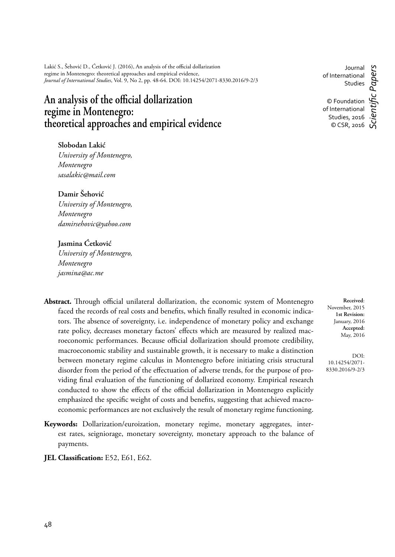Lakić S., Šehović D., Ćetković J. (2016), An analysis of the official dollarization regime in Montenegro: theoretical approaches and empirical evidence, *Journal of International Studies*, Vol. 9, No 2, pp. 48-64. DOI: 10.14254/2071-8330.2016/9-2/3

# An analysis of the official dollarization **regime in Montenegro: theoretical approaches and empirical evidence**

**Slobodan Lakić** *University of Montenegro, Montenegro sasalakic@mail.com*

**Damir Šehović**

*University of Montenegro, Montenegro damirsehovic@yahoo.com*

# **Jasmina Ćetković**

*University of Montenegro, Montenegro jasmina@ac.me*

- Abstract. Through official unilateral dollarization, the economic system of Montenegro faced the records of real costs and benefits, which finally resulted in economic indicators. The absence of sovereignty, i.e. independence of monetary policy and exchange rate policy, decreases monetary factors' effects which are measured by realized macroeconomic performances. Because official dollarization should promote credibility, macroeconomic stability and sustainable growth, it is necessary to make a distinction between monetary regime calculus in Montenegro before initiating crisis structural disorder from the period of the effectuation of adverse trends, for the purpose of providing final evaluation of the functioning of dollarized economy. Empirical research conducted to show the effects of the official dollarization in Montenegro explicitly emphasized the specific weight of costs and benefits, suggesting that achieved macroeconomic performances are not exclusively the result of monetary regime functioning.
- **Keywords:** Dollarization/euroization, monetary regime, monetary aggregates, interest rates, seigniorage, monetary sovereignty, monetary approach to the balance of payments.
- **JEL Classification:** E52, E61, E62.

Journal of International Studies © Foundation of International Studies, 2016 © CSR, 2016 *Scientifi c Papers*

**Received**: November, 2015 **1st Revision:** January, 2016 **Accepted:** May, 2016

DOI: 10.14254/2071- 8330.2016/9-2/3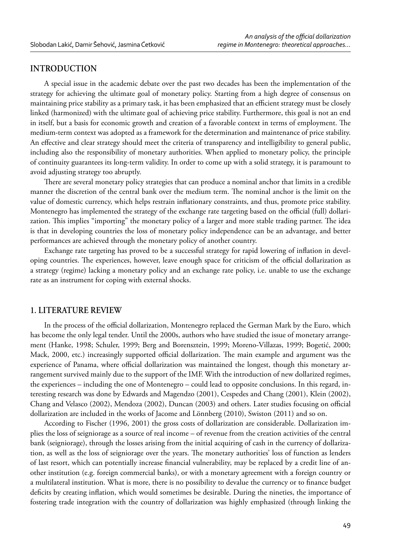# **INTRODUCTION**

A special issue in the academic debate over the past two decades has been the implementation of the strategy for achieving the ultimate goal of monetary policy. Starting from a high degree of consensus on maintaining price stability as a primary task, it has been emphasized that an efficient strategy must be closely linked (harmonized) with the ultimate goal of achieving price stability. Furthermore, this goal is not an end in itself, but a basis for economic growth and creation of a favorable context in terms of employment. The medium-term context was adopted as a framework for the determination and maintenance of price stability. An effective and clear strategy should meet the criteria of transparency and intelligibility to general public, including also the responsibility of monetary authorities. When applied to monetary policy, the principle of continuity guarantees its long-term validity. In order to come up with a solid strategy, it is paramount to avoid adjusting strategy too abruptly.

There are several monetary policy strategies that can produce a nominal anchor that limits in a credible manner the discretion of the central bank over the medium term. The nominal anchor is the limit on the value of domestic currency, which helps restrain inflationary constraints, and thus, promote price stability. Montenegro has implemented the strategy of the exchange rate targeting based on the official (full) dollarization. This implies "importing" the monetary policy of a larger and more stable trading partner. The idea is that in developing countries the loss of monetary policy independence can be an advantage, and better performances are achieved through the monetary policy of another country.

Exchange rate targeting has proved to be a successful strategy for rapid lowering of inflation in developing countries. The experiences, however, leave enough space for criticism of the official dollarization as a strategy (regime) lacking a monetary policy and an exchange rate policy, i.e. unable to use the exchange rate as an instrument for coping with external shocks.

#### **1. LITERATURE REVIEW**

In the process of the official dollarization, Montenegro replaced the German Mark by the Euro, which has become the only legal tender. Until the 2000s, authors who have studied the issue of monetary arrangement (Hanke, 1998; Schuler, 1999; Berg and Borensztein, 1999; Moreno-Villazas, 1999; Bogetić, 2000; Mack, 2000, etc.) increasingly supported official dollarization. The main example and argument was the experience of Panama, where official dollarization was maintained the longest, though this monetary arrangement survived mainly due to the support of the IMF. With the introduction of new dollarized regimes, the experiences – including the one of Montenegro – could lead to opposite conclusions. In this regard, interesting research was done by Edwards and Magendzo (2001), Cespedes and Chang (2001), Klein (2002), Chang and Velasco (2002), Mendoza (2002), Duncan (2003) and others. Later studies focusing on official dollarization are included in the works of Jacome and Lönnberg (2010), Swiston (2011) and so on.

According to Fischer (1996, 2001) the gross costs of dollarization are considerable. Dollarization implies the loss of seigniorage as a source of real income – of revenue from the creation activities of the central bank (seigniorage), through the losses arising from the initial acquiring of cash in the currency of dollarization, as well as the loss of seigniorage over the years. The monetary authorities' loss of function as lenders of last resort, which can potentially increase financial vulnerability, may be replaced by a credit line of another institution (e.g. foreign commercial banks), or with a monetary agreement with a foreign country or a multilateral institution. What is more, there is no possibility to devalue the currency or to finance budget deficits by creating inflation, which would sometimes be desirable. During the nineties, the importance of fostering trade integration with the country of dollarization was highly emphasized (through linking the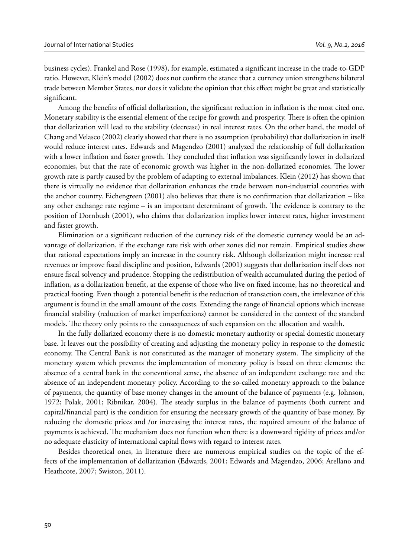business cycles). Frankel and Rose (1998), for example, estimated a significant increase in the trade-to-GDP ratio. However, Klein's model (2002) does not confirm the stance that a currency union strengthens bilateral trade between Member States, nor does it validate the opinion that this effect might be great and statistically significant.

Among the benefits of official dollarization, the significant reduction in inflation is the most cited one. Monetary stability is the essential element of the recipe for growth and prosperity. There is often the opinion that dollarization will lead to the stability (decrease) in real interest rates. On the other hand, the model of Chang and Velasco (2002) clearly showed that there is no assumption (probability) that dollarization in itself would reduce interest rates. Edwards and Magendzo (2001) analyzed the relationship of full dollarization with a lower inflation and faster growth. They concluded that inflation was significantly lower in dollarized economies, but that the rate of economic growth was higher in the non-dollarized economies. The lower growth rate is partly caused by the problem of adapting to external imbalances. Klein (2012) has shown that there is virtually no evidence that dollarization enhances the trade between non-industrial countries with the anchor country. Eichengreen (2001) also believes that there is no confirmation that dollarization – like any other exchange rate regime  $-$  is an important determinant of growth. The evidence is contrary to the position of Dornbush (2001), who claims that dollarization implies lower interest rates, higher investment and faster growth.

Elimination or a significant reduction of the currency risk of the domestic currency would be an advantage of dollarization, if the exchange rate risk with other zones did not remain. Empirical studies show that rational expectations imply an increase in the country risk. Although dollarization might increase real revenues or improve fiscal discipline and position, Edwards (2001) suggests that dollarization itself does not ensure fiscal solvency and prudence. Stopping the redistribution of wealth accumulated during the period of inflation, as a dollarization benefit, at the expense of those who live on fixed income, has no theoretical and practical footing. Even though a potential benefi t is the reduction of transaction costs, the irrelevance of this argument is found in the small amount of the costs. Extending the range of financial options which increase financial stability (reduction of market imperfections) cannot be considered in the context of the standard models. The theory only points to the consequences of such expansion on the allocation and wealth.

In the fully dollarized economy there is no domestic monetary authority or special domestic monetary base. It leaves out the possibility of creating and adjusting the monetary policy in response to the domestic economy. The Central Bank is not constituted as the manager of monetary system. The simplicity of the monetary system which prevents the implementation of monetary policy is based on three elements: the absence of a central bank in the conevntional sense, the absence of an independent exchange rate and the absence of an independent monetary policy. According to the so-called monetary approach to the balance of payments, the quantity of base money changes in the amount of the balance of payments (e.g. Johnson, 1972; Polak, 2001; Ribnikar, 2004). The steady surplus in the balance of payments (both current and capital/financial part) is the condition for ensuring the necessary growth of the quantity of base money. By reducing the domestic prices and /or increasing the interest rates, the required amount of the balance of payments is achieved. The mechanism does not function when there is a downward rigidity of prices and/or no adequate elasticity of international capital flows with regard to interest rates.

Besides theoretical ones, in literature there are numerous empirical studies on the topic of the effects of the implementation of dollarization (Edwards, 2001; Edwards and Magendzo, 2006; Arellano and Heathcote, 2007; Swiston, 2011).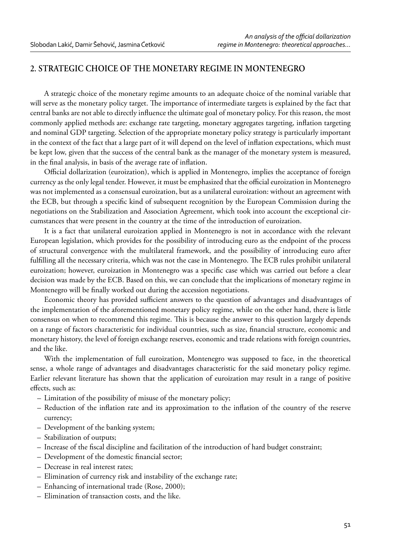# **2. STRATEGIC CHOICE OF THE MONETARY REGIME IN MONTENEGRO**

A strategic choice of the monetary regime amounts to an adequate choice of the nominal variable that will serve as the monetary policy target. The importance of intermediate targets is explained by the fact that central banks are not able to directly influence the ultimate goal of monetary policy. For this reason, the most commonly applied methods are: exchange rate targeting, monetary aggregates targeting, inflation targeting and nominal GDP targeting. Selection of the appropriate monetary policy strategy is particularly important in the context of the fact that a large part of it will depend on the level of inflation expectations, which must be kept low, given that the success of the central bank as the manager of the monetary system is measured, in the final analysis, in basis of the average rate of inflation.

Official dollarization (euroization), which is applied in Montenegro, implies the acceptance of foreign currency as the only legal tender. However, it must be emphasized that the official euroization in Montenegro was not implemented as a consensual euroization, but as a unilateral euroization: without an agreement with the ECB, but through a specific kind of subsequent recognition by the European Commission during the negotiations on the Stabilization and Association Agreement, which took into account the exceptional circumstances that were present in the country at the time of the introduction of euroization.

It is a fact that unilateral euroization applied in Montenegro is not in accordance with the relevant European legislation, which provides for the possibility of introducing euro as the endpoint of the process of structural convergence with the multilateral framework, and the possibility of introducing euro after fulfilling all the necessary criteria, which was not the case in Montenegro. The ECB rules prohibit unilateral euroization; however, euroization in Montenegro was a specific case which was carried out before a clear decision was made by the ECB. Based on this, we can conclude that the implications of monetary regime in Montenegro will be finally worked out during the accession negotiations.

Economic theory has provided sufficient answers to the question of advantages and disadvantages of the implementation of the aforementioned monetary policy regime, while on the other hand, there is little consensus on when to recommend this regime. This is because the answer to this question largely depends on a range of factors characteristic for individual countries, such as size, financial structure, economic and monetary history, the level of foreign exchange reserves, economic and trade relations with foreign countries, and the like.

With the implementation of full euroization, Montenegro was supposed to face, in the theoretical sense, a whole range of advantages and disadvantages characteristic for the said monetary policy regime. Earlier relevant literature has shown that the application of euroization may result in a range of positive effects, such as:

- Limitation of the possibility of misuse of the monetary policy;
- Reduction of the inflation rate and its approximation to the inflation of the country of the reserve currency;
- Development of the banking system;
- Stabilization of outputs;
- Increase of the fiscal discipline and facilitation of the introduction of hard budget constraint;
- Development of the domestic financial sector;
- Decrease in real interest rates;
- Elimination of currency risk and instability of the exchange rate;
- Enhancing of international trade (Rose, 2000);
- Elimination of transaction costs, and the like.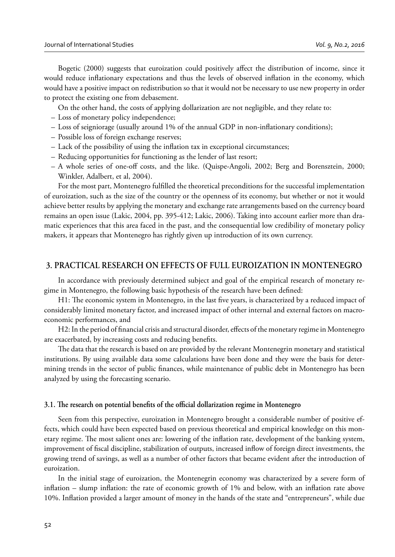Bogetic (2000) suggests that euroization could positively affect the distribution of income, since it would reduce inflationary expectations and thus the levels of observed inflation in the economy, which would have a positive impact on redistribution so that it would not be necessary to use new property in order to protect the existing one from debasement.

On the other hand, the costs of applying dollarization are not negligible, and they relate to:

- Loss of monetary policy independence;
- $-$  Loss of seigniorage (usually around 1% of the annual GDP in non-inflationary conditions);
- Possible loss of foreign exchange reserves;
- Lack of the possibility of using the inflation tax in exceptional circumstances;
- Reducing opportunities for functioning as the lender of last resort;
- A whole series of one-off costs, and the like. (Quispe-Angoli, 2002; Berg and Borensztein, 2000; Winkler, Adalbert, et al, 2004).

For the most part, Montenegro fulfilled the theoretical preconditions for the successful implementation of euroization, such as the size of the country or the openness of its economy, but whether or not it would achieve better results by applying the monetary and exchange rate arrangements based on the currency board remains an open issue (Lakic, 2004, pp. 395-412; Lakic, 2006). Taking into account earlier more than dramatic experiences that this area faced in the past, and the consequential low credibility of monetary policy makers, it appears that Montenegro has rightly given up introduction of its own currency.

# **3. PRACTICAL RESEARCH ON EFFECTS OF FULL EUROIZATION IN MONTENEGRO**

In accordance with previously determined subject and goal of the empirical research of monetary regime in Montenegro, the following basic hypothesis of the research have been defined:

H1: The economic system in Montenegro, in the last five years, is characterized by a reduced impact of considerably limited monetary factor, and increased impact of other internal and external factors on macroeconomic performances, and

H2: In the period of financial crisis and structural disorder, effects of the monetary regime in Montenegro are exacerbated, by increasing costs and reducing benefits.

The data that the research is based on are provided by the relevant Montenegrin monetary and statistical institutions. By using available data some calculations have been done and they were the basis for determining trends in the sector of public finances, while maintenance of public debt in Montenegro has been analyzed by using the forecasting scenario.

#### **3.1. The research on potential benefits of the official dollarization regime in Montenegro**

Seen from this perspective, euroization in Montenegro brought a considerable number of positive effects, which could have been expected based on previous theoretical and empirical knowledge on this monetary regime. The most salient ones are: lowering of the inflation rate, development of the banking system, improvement of fiscal discipline, stabilization of outputs, increased inflow of foreign direct investments, the growing trend of savings, as well as a number of other factors that became evident after the introduction of euroization.

In the initial stage of euroization, the Montenegrin economy was characterized by a severe form of inflation – slump inflation: the rate of economic growth of  $1\%$  and below, with an inflation rate above 10%. Infl ation provided a larger amount of money in the hands of the state and "entrepreneurs", while due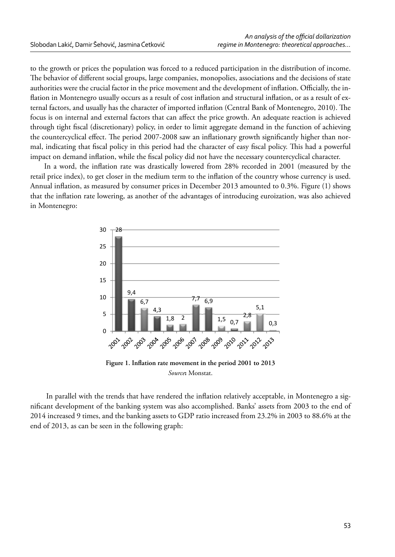to the growth or prices the population was forced to a reduced participation in the distribution of income. The behavior of different social groups, large companies, monopolies, associations and the decisions of state authorities were the crucial factor in the price movement and the development of inflation. Officially, the inflation in Montenegro usually occurs as a result of cost inflation and structural inflation, or as a result of external factors, and usually has the character of imported inflation (Central Bank of Montenegro, 2010). The focus is on internal and external factors that can affect the price growth. An adequate reaction is achieved through tight fiscal (discretionary) policy, in order to limit aggregate demand in the function of achieving the countercyclical effect. The period 2007-2008 saw an inflationary growth significantly higher than normal, indicating that fiscal policy in this period had the character of easy fiscal policy. This had a powerful impact on demand inflation, while the fiscal policy did not have the necessary countercyclical character.

In a word, the inflation rate was drastically lowered from 28% recorded in 2001 (measured by the retail price index), to get closer in the medium term to the inflation of the country whose currency is used. Annual inflation, as measured by consumer prices in December 2013 amounted to 0.3%. Figure (1) shows that the infl ation rate lowering, as another of the advantages of introducing euroization, was also achieved in Montenegro:



Figure 1. Inflation rate movement in the period 2001 to 2013 *Source***:** Monstat.

In parallel with the trends that have rendered the inflation relatively acceptable, in Montenegro a significant development of the banking system was also accomplished. Banks' assets from 2003 to the end of 2014 increased 9 times, and the banking assets to GDP ratio increased from 23.2% in 2003 to 88.6% at the end of 2013, as can be seen in the following graph: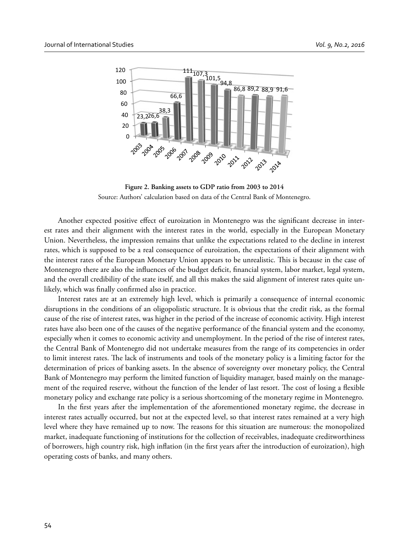

**Figure 2. Banking assets to GDP ratio from 2003 to 2014** Source: Authors' calculation based on data of the Central Bank of Montenegro.

Another expected positive effect of euroization in Montenegro was the significant decrease in interest rates and their alignment with the interest rates in the world, especially in the European Monetary Union. Nevertheless, the impression remains that unlike the expectations related to the decline in interest rates, which is supposed to be a real consequence of euroization, the expectations of their alignment with the interest rates of the European Monetary Union appears to be unrealistic. This is because in the case of Montenegro there are also the influences of the budget deficit, financial system, labor market, legal system, and the overall credibility of the state itself, and all this makes the said alignment of interest rates quite unlikely, which was finally confirmed also in practice.

Interest rates are at an extremely high level, which is primarily a consequence of internal economic disruptions in the conditions of an oligopolistic structure. It is obvious that the credit risk, as the formal cause of the rise of interest rates, was higher in the period of the increase of economic activity. High interest rates have also been one of the causes of the negative performance of the financial system and the economy, especially when it comes to economic activity and unemployment. In the period of the rise of interest rates, the Central Bank of Montenegro did not undertake measures from the range of its competencies in order to limit interest rates. The lack of instruments and tools of the monetary policy is a limiting factor for the determination of prices of banking assets. In the absence of sovereignty over monetary policy, the Central Bank of Montenegro may perform the limited function of liquidity manager, based mainly on the management of the required reserve, without the function of the lender of last resort. The cost of losing a flexible monetary policy and exchange rate policy is a serious shortcoming of the monetary regime in Montenegro.

In the first years after the implementation of the aforementioned monetary regime, the decrease in interest rates actually occurred, but not at the expected level, so that interest rates remained at a very high level where they have remained up to now. The reasons for this situation are numerous: the monopolized market, inadequate functioning of institutions for the collection of receivables, inadequate creditworthiness of borrowers, high country risk, high inflation (in the first years after the introduction of euroization), high operating costs of banks, and many others.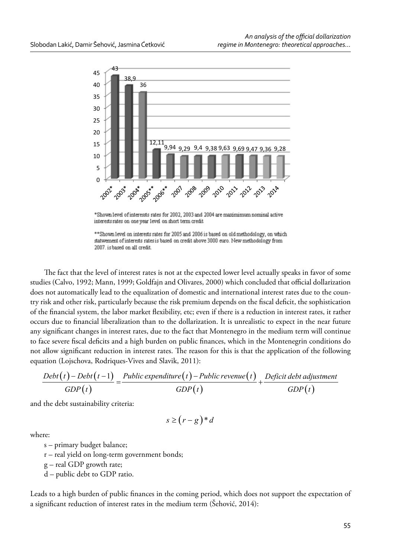

\*Shown level of interessts rates for 2002, 2003 and 2004 are maximimum nominal active interests rates on one year level on short term credit



The fact that the level of interest rates is not at the expected lower level actually speaks in favor of some studies (Calvo, 1992; Mann, 1999; Goldfajn and Olivares, 2000) which concluded that official dollarization does not automatically lead to the equalization of domestic and international interest rates due to the country risk and other risk, particularly because the risk premium depends on the fiscal deficit, the sophistication of the financial system, the labor market flexibility, etc; even if there is a reduction in interest rates, it rather occurs due to financial liberalization than to the dollarization. It is unrealistic to expect in the near future any significant changes in interest rates, due to the fact that Montenegro in the medium term will continue to face severe fiscal deficits and a high burden on public finances, which in the Montenegrin conditions do not allow significant reduction in interest rates. The reason for this is that the application of the following equation (Lojschova, Rodriques-Vives and Slavik, 2011):

$$
\frac{Debt(t) - Debt(t-1)}{GDP(t)} = \frac{Public\ expenditure(t) - Public\ revenue(t)}{GDP(t)} + \frac{Deficit\ debt\ adjustment}{GDP(t)}
$$

and the debt sustainability criteria:

 $s \geq (r-g)^*d$ 

where:

s – primary budget balance;

r – real yield on long-term government bonds;

g – real GDP growth rate;

d – public debt to GDP ratio.

Leads to a high burden of public finances in the coming period, which does not support the expectation of a significant reduction of interest rates in the medium term (Šehović, 2014):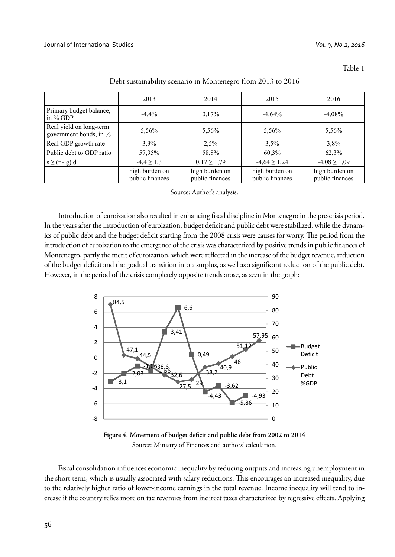Table 1

|                                                   | 2013                              | 2014                              | 2015                              | 2016                              |
|---------------------------------------------------|-----------------------------------|-----------------------------------|-----------------------------------|-----------------------------------|
| Primary budget balance,<br>in $%$ GDP             | $-4.4%$                           | 0.17%                             | $-4,64%$                          | $-4.08%$                          |
| Real yield on long-term<br>government bonds, in % | 5,56%                             | 5,56%                             | 5,56%                             | 5,56%                             |
| Real GDP growth rate                              | $3.3\%$                           | 2,5%                              | 3.5%                              | $3.8\%$                           |
| Public debt to GDP ratio                          | 57,95%                            | 58,8%                             | 60,3%                             | 62,3%                             |
| $s \ge (r - g) d$                                 | $-4.4 \ge 1.3$                    | $0,17 \ge 1,79$                   | $-4,64 \ge 1,24$                  | $-4.08 \ge 1.09$                  |
|                                                   | high burden on<br>public finances | high burden on<br>public finances | high burden on<br>public finances | high burden on<br>public finances |

Debt sustainability scenario in Montenegro from 2013 to 2016

Source: Author's analysis.

Introduction of euroization also resulted in enhancing fiscal discipline in Montenegro in the pre-crisis period. In the years after the introduction of euroization, budget deficit and public debt were stabilized, while the dynamics of public debt and the budget deficit starting from the 2008 crisis were causes for worry. The period from the introduction of euroization to the emergence of the crisis was characterized by positive trends in public finances of Montenegro, partly the merit of euroization, which were reflected in the increase of the budget revenue, reduction of the budget deficit and the gradual transition into a surplus, as well as a significant reduction of the public debt. However, in the period of the crisis completely opposite trends arose, as seen in the graph:



Figure 4. Movement of budget deficit and public debt from 2002 to 2014 Source: Ministry of Finances and authors' calculation.

Fiscal consolidation influences economic inequality by reducing outputs and increasing unemployment in the short term, which is usually associated with salary reductions. This encourages an increased inequality, due to the relatively higher ratio of lower-income earnings in the total revenue. Income inequality will tend to increase if the country relies more on tax revenues from indirect taxes characterized by regressive effects. Applying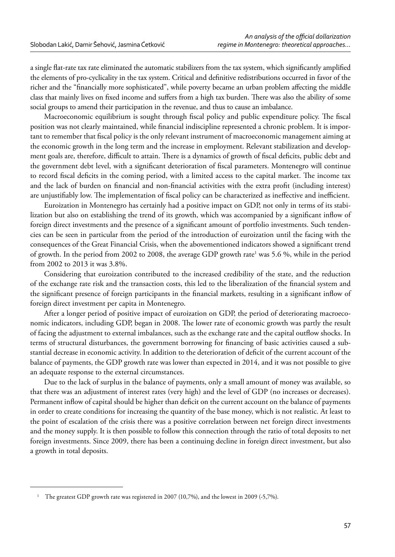a single flat-rate tax rate eliminated the automatic stabilizers from the tax system, which significantly amplified the elements of pro-cyclicality in the tax system. Critical and definitive redistributions occurred in favor of the richer and the "financially more sophisticated", while poverty became an urban problem affecting the middle class that mainly lives on fixed income and suffers from a high tax burden. There was also the ability of some social groups to amend their participation in the revenue, and thus to cause an imbalance.

Macroeconomic equilibrium is sought through fiscal policy and public expenditure policy. The fiscal position was not clearly maintained, while financial indiscipline represented a chronic problem. It is important to remember that fiscal policy is the only relevant instrument of macroeconomic management aiming at the economic growth in the long term and the increase in employment. Relevant stabilization and development goals are, therefore, difficult to attain. There is a dynamics of growth of fiscal deficits, public debt and the government debt level, with a significant deterioration of fiscal parameters. Montenegro will continue to record fiscal deficits in the coming period, with a limited access to the capital market. The income tax and the lack of burden on financial and non-financial activities with the extra profit (including interest) are unjustifiably low. The implementation of fiscal policy can be characterized as ineffective and inefficient.

Euroization in Montenegro has certainly had a positive impact on GDP, not only in terms of its stabilization but also on establishing the trend of its growth, which was accompanied by a significant inflow of foreign direct investments and the presence of a significant amount of portfolio investments. Such tendencies can be seen in particular from the period of the introduction of euroization until the facing with the consequences of the Great Financial Crisis, when the abovementioned indicators showed a significant trend of growth. In the period from 2002 to 2008, the average GDP growth rate<sup>1</sup> was 5.6 %, while in the period from 2002 to 2013 it was 3.8%.

Considering that euroization contributed to the increased credibility of the state, and the reduction of the exchange rate risk and the transaction costs, this led to the liberalization of the financial system and the significant presence of foreign participants in the financial markets, resulting in a significant inflow of foreign direct investment per capita in Montenegro.

After a longer period of positive impact of euroization on GDP, the period of deteriorating macroeconomic indicators, including GDP, began in 2008. The lower rate of economic growth was partly the result of facing the adjustment to external imbalances, such as the exchange rate and the capital outflow shocks. In terms of structural disturbances, the government borrowing for financing of basic activities caused a substantial decrease in economic activity. In addition to the deterioration of deficit of the current account of the balance of payments, the GDP growth rate was lower than expected in 2014, and it was not possible to give an adequate response to the external circumstances.

Due to the lack of surplus in the balance of payments, only a small amount of money was available, so that there was an adjustment of interest rates (very high) and the level of GDP (no increases or decreases). Permanent inflow of capital should be higher than deficit on the current account on the balance of payments in order to create conditions for increasing the quantity of the base money, which is not realistic. At least to the point of escalation of the crisis there was a positive correlation between net foreign direct investments and the money supply. It is then possible to follow this connection through the ratio of total deposits to net foreign investments. Since 2009, there has been a continuing decline in foreign direct investment, but also a growth in total deposits.

<sup>&</sup>lt;sup>1</sup> The greatest GDP growth rate was registered in 2007 (10,7%), and the lowest in 2009 (-5,7%).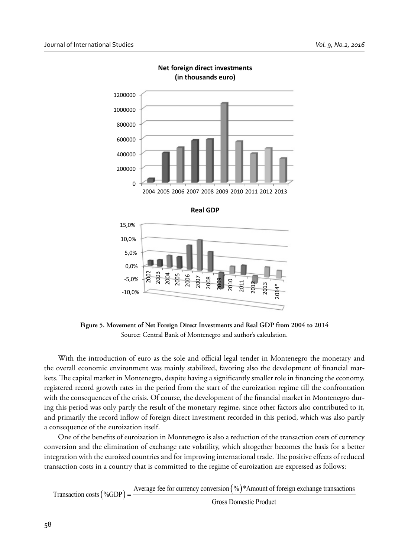

**Net foreign direct investments (in thousands euro)**

**Figure 5. Movement of Net Foreign Direct Investments and Real GDP from 2004 to 2014** Source: Central Bank of Montenegro and author's calculation.

With the introduction of euro as the sole and official legal tender in Montenegro the monetary and the overall economic environment was mainly stabilized, favoring also the development of financial markets. The capital market in Montenegro, despite having a significantly smaller role in financing the economy, registered record growth rates in the period from the start of the euroization regime till the confrontation with the consequences of the crisis. Of course, the development of the financial market in Montenegro during this period was only partly the result of the monetary regime, since other factors also contributed to it, and primarily the record inflow of foreign direct investment recorded in this period, which was also partly a consequence of the euroization itself.

One of the benefits of euroization in Montenegro is also a reduction of the transaction costs of currency conversion and the elimination of exchange rate volatility, which altogether becomes the basis for a better integration with the euroized countries and for improving international trade. The positive effects of reduced transaction costs in a country that is committed to the regime of euroization are expressed as follows:

Average fee for currency conversion  $(\%)^*$  Amount of foreign exchange transactions Transaction costs  $(\%GDP)$  = Gross Domestic Product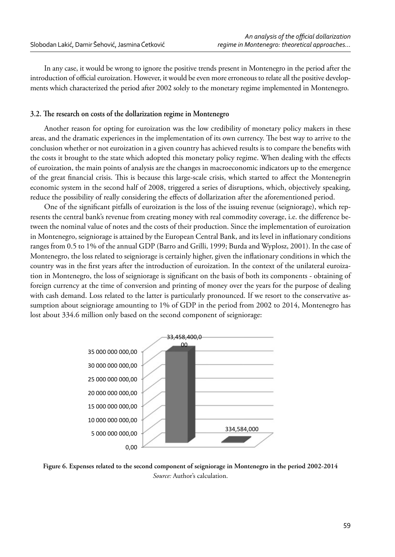In any case, it would be wrong to ignore the positive trends present in Montenegro in the period after the introduction of official euroization. However, it would be even more erroneous to relate all the positive developments which characterized the period after 2002 solely to the monetary regime implemented in Montenegro.

#### **3.2.** The research on costs of the dollarization regime in Montenegro

Another reason for opting for euroization was the low credibility of monetary policy makers in these areas, and the dramatic experiences in the implementation of its own currency. The best way to arrive to the conclusion whether or not euroization in a given country has achieved results is to compare the benefits with the costs it brought to the state which adopted this monetary policy regime. When dealing with the effects of euroization, the main points of analysis are the changes in macroeconomic indicators up to the emergence of the great financial crisis. This is because this large-scale crisis, which started to affect the Montenegrin economic system in the second half of 2008, triggered a series of disruptions, which, objectively speaking, reduce the possibility of really considering the effects of dollarization after the aforementioned period.

One of the significant pitfalls of euroization is the loss of the issuing revenue (seigniorage), which represents the central bank's revenue from creating money with real commodity coverage, i.e. the difference between the nominal value of notes and the costs of their production. Since the implementation of euroization in Montenegro, seigniorage is attained by the European Central Bank, and its level in inflationary conditions ranges from 0.5 to 1% of the annual GDP (Barro and Grilli, 1999; Burda and Wyplosz, 2001). In the case of Montenegro, the loss related to seigniorage is certainly higher, given the inflationary conditions in which the country was in the first years after the introduction of euroization. In the context of the unilateral euroization in Montenegro, the loss of seigniorage is significant on the basis of both its components - obtaining of foreign currency at the time of conversion and printing of money over the years for the purpose of dealing with cash demand. Loss related to the latter is particularly pronounced. If we resort to the conservative assumption about seigniorage amounting to 1% of GDP in the period from 2002 to 2014, Montenegro has lost about 334.6 million only based on the second component of seigniorage:



**Figure 6. Expenses related to the second component of seigniorage in Montenegro in the period 2002-2014** *Source:* Author's calculation.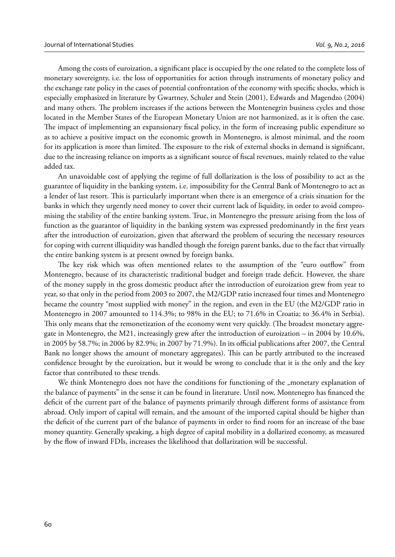Among the costs of euroization, a significant place is occupied by the one related to the complete loss of monetary sovereignty, i.e. the loss of opportunities for action through instruments of monetary policy and the exchange rate policy in the cases of potential confrontation of the economy with specific shocks, which is especially emphasized in literature by Gwartney, Schuler and Stein (2001), Edwards and Magendzo (2004) and many others. The problem increases if the actions between the Montenegrin business cycles and those located in the Member States of the European Monetary Union are not harmonized, as it is often the case. The impact of implementing an expansionary fiscal policy, in the form of increasing public expenditure so as to achieve a positive impact on the economic growth in Montenegro, is almost minimal, and the room for its application is more than limited. The exposure to the risk of external shocks in demand is significant, due to the increasing reliance on imports as a significant source of fiscal revenues, mainly related to the value added tax.

An unavoidable cost of applying the regime of full dollarization is the loss of possibility to act as the guarantee of liquidity in the banking system, i.e. impossibility for the Central Bank of Montenegro to act as a lender of last resort. This is particularly important when there is an emergence of a crisis situation for the banks in which they urgently need money to cover their current lack of liquidity, in order to avoid compromising the stability of the entire banking system. True, in Montenegro the pressure arising from the loss of function as the guarantor of liquidity in the banking system was expressed predominantly in the first years after the introduction of euroization, given that afterward the problem of securing the necessary resources for coping with current illiquidity was handled though the foreign parent banks, due to the fact that virtually the entire banking system is at present owned by foreign banks.

The key risk which was often mentioned relates to the assumption of the "euro outflow" from Montenegro, because of its characteristic traditional budget and foreign trade deficit. However, the share of the money supply in the gross domestic product after the introduction of euroization grew from year to year, so that only in the period from 2003 to 2007, the M2/GDP ratio increased four times and Montenegro became the country "most supplied with money" in the region, and even in the EU (the M2/GDP ratio in Montenegro in 2007 amounted to 114.3%; to 98% in the EU; to 71.6% in Croatia; to 36.4% in Serbia). This only means that the remonetization of the economy went very quickly. (The broadest monetary aggregate in Montenegro, the M21, increasingly grew after the introduction of euroization – in 2004 by 10.6%, in 2005 by 58.7%; in 2006 by 82.9%; in 2007 by 71.9%). In its official publications after 2007, the Central Bank no longer shows the amount of monetary aggregates). This can be partly attributed to the increased confidence brought by the euroization, but it would be wrong to conclude that it is the only and the key factor that contributed to these trends.

We think Montenegro does not have the conditions for functioning of the "monetary explanation of the balance of payments" in the sense it can be found in literature. Until now, Montenegro has financed the deficit of the current part of the balance of payments primarily through different forms of assistance from abroad. Only import of capital will remain, and the amount of the imported capital should be higher than the deficit of the current part of the balance of payments in order to find room for an increase of the base money quantity. Generally speaking, a high degree of capital mobility in a dollarized economy, as measured by the flow of inward FDIs, increases the likelihood that dollarization will be successful.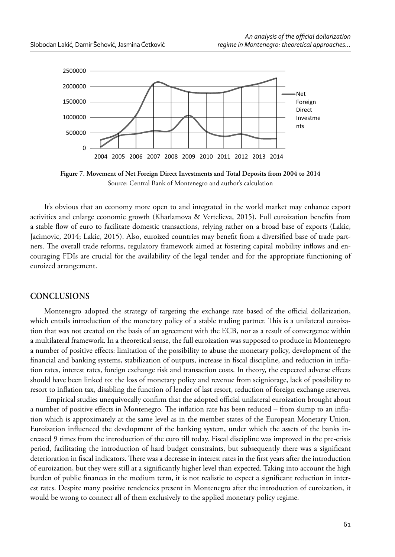

**Figure 7. Movement of Net Foreign Direct Investments and Total Deposits from 2004 to 2014** Source: Central Bank of Montenegro and author's calculation

It's obvious that an economy more open to and integrated in the world market may enhance export activities and enlarge economic growth (Kharlamova & Vertelieva, 2015). Full euroization benefits from a stable flow of euro to facilitate domestic transactions, relying rather on a broad base of exports (Lakic, Jacimovic, 2014; Lakic, 2015). Also, euroized countries may benefit from a diversified base of trade partners. The overall trade reforms, regulatory framework aimed at fostering capital mobility inflows and encouraging FDIs are crucial for the availability of the legal tender and for the appropriate functioning of euroized arrangement.

### **CONCLUSIONS**

Montenegro adopted the strategy of targeting the exchange rate based of the official dollarization, which entails introduction of the monetary policy of a stable trading partner. This is a unilateral euroization that was not created on the basis of an agreement with the ECB, nor as a result of convergence within a multilateral framework. In a theoretical sense, the full euroization was supposed to produce in Montenegro a number of positive effects: limitation of the possibility to abuse the monetary policy, development of the financial and banking systems, stabilization of outputs, increase in fiscal discipline, and reduction in inflation rates, interest rates, foreign exchange risk and transaction costs. In theory, the expected adverse effects should have been linked to: the loss of monetary policy and revenue from seigniorage, lack of possibility to resort to inflation tax, disabling the function of lender of last resort, reduction of foreign exchange reserves.

Empirical studies unequivocally confirm that the adopted official unilateral euroization brought about a number of positive effects in Montenegro. The inflation rate has been reduced – from slump to an inflation which is approximately at the same level as in the member states of the European Monetary Union. Euroization influenced the development of the banking system, under which the assets of the banks increased 9 times from the introduction of the euro till today. Fiscal discipline was improved in the pre-crisis period, facilitating the introduction of hard budget constraints, but subsequently there was a significant deterioration in fiscal indicators. There was a decrease in interest rates in the first years after the introduction of euroization, but they were still at a significantly higher level than expected. Taking into account the high burden of public finances in the medium term, it is not realistic to expect a significant reduction in interest rates. Despite many positive tendencies present in Montenegro after the introduction of euroization, it would be wrong to connect all of them exclusively to the applied monetary policy regime.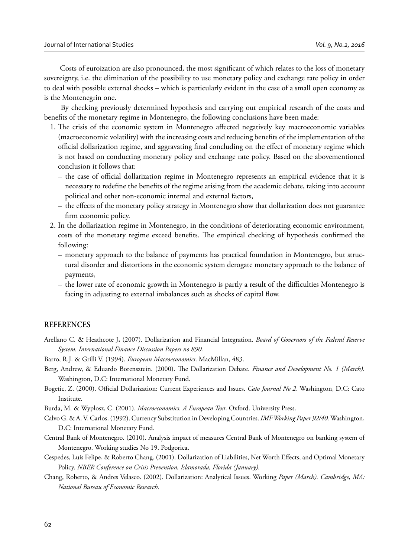Costs of euroization are also pronounced, the most significant of which relates to the loss of monetary sovereignty, i.e. the elimination of the possibility to use monetary policy and exchange rate policy in order to deal with possible external shocks – which is particularly evident in the case of a small open economy as is the Montenegrin one.

 By checking previously determined hypothesis and carrying out empirical research of the costs and benefits of the monetary regime in Montenegro, the following conclusions have been made:

- 1. The crisis of the economic system in Montenegro affected negatively key macroeconomic variables (macroeconomic volatility) with the increasing costs and reducing benefits of the implementation of the official dollarization regime, and aggravating final concluding on the effect of monetary regime which is not based on conducting monetary policy and exchange rate policy. Based on the abovementioned conclusion it follows that:
	- $-$  the case of official dollarization regime in Montenegro represents an empirical evidence that it is necessary to redefine the benefits of the regime arising from the academic debate, taking into account political and other non-economic internal and external factors,
	- the effects of the monetary policy strategy in Montenegro show that dollarization does not guarantee firm economic policy.
- 2. In the dollarization regime in Montenegro, in the conditions of deteriorating economic environment, costs of the monetary regime exceed benefits. The empirical checking of hypothesis confirmed the following:
	- monetary approach to the balance of payments has practical foundation in Montenegro, but structural disorder and distortions in the economic system derogate monetary approach to the balance of payments,
	- $-$  the lower rate of economic growth in Montenegro is partly a result of the difficulties Montenegro is facing in adjusting to external imbalances such as shocks of capital flow.

#### **REFERENCES**

- Arellano C. & Heathcote J**.** (2007). Dollarization and Financial Integration. *Board of Governors of the Federal Reserve System. International Finance Discussion Papers no 890.*
- Barro, R.J. & Grilli V. (1994). *European Macroeconomics*. MacMillan, 483.
- Berg, Andrew, & Eduardo Borensztein. (2000). The Dollarization Debate. *Finance and Development No. 1 (March)*. Washington, D.C: International Monetary Fund.
- Bogetic, Z. (2000). Official Dollarization: Current Experiences and Issues. *Cato Journal No 2*. Washington, D.C: Cato Institute.
- Burda, M. & Wyplosz, C. (2001). *Macroeconomics. A European Text*. Oxford. University Press.
- Calvo G. & A. V. Carlos. (1992). Currency Substitution in Developing Countries. *IMF Working Paper 92/40.* Washington, D.C: International Monetary Fund.
- Central Bank of Montenegro. (2010). Analysis impact of measures Central Bank of Montenegro on banking system of Montenegro. Working studies No 19. Podgorica.
- Cespedes, Luis Felipe, & Roberto Chang. (2001). Dollarization of Liabilities, Net Worth Effects, and Optimal Monetary Policy. *NBER Conference on Crisis Prevention, Islamorada, Florida (January).*
- Chang, Roberto, & Andres Velasco. (2002). Dollarization: Analytical Issues. Working *Paper (March). Cambridge, MA: National Bureau of Economic Research.*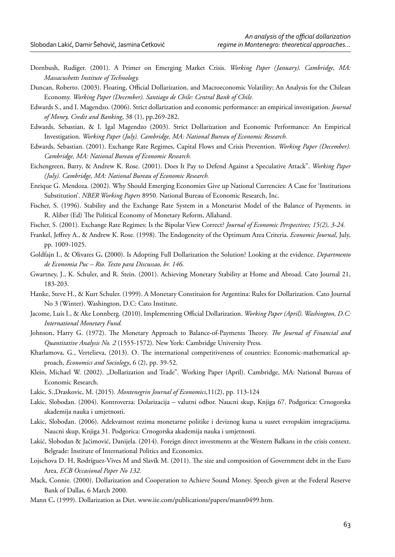- Dornbush, Rudiger. (2001). A Primer on Emerging Market Crisis. *Working Paper (January). Cambridge, MA: Massacushetts Institute of Technology.*
- Duncan, Roberto. (2003). Floating, Official Dollarization, and Macroeconomic Volatility; An Analysis for the Chilean Economy. *Working Paper (December). Santiago de Chile: Central Bank of Chile.*
- Edwards S., and I. Magendzo. (2006). Strict dollarization and economic performance: an empirical investigation. *Journal of Money, Credit and Banking*, 38 (1), pp.269-282.
- Edwards, Sebastian, & I. Igal Magendzo (2003). Strict Dollarization and Economic Performance: An Empirical Investigation. *Working Paper (July). Cambridge, MA: National Bureau of Economic Research.*
- Edwards, Sebastian. (2001). Exchange Rate Regimes, Capital Flows and Crisis Prevention. *Working Paper (December). Cambridge, MA: National Bureau of Economic Research.*
- Eichengreen, Barry, & Andrew K. Rose. (2001). Does It Pay to Defend Against a Speculative Attack". *Working Paper (July). Cambridge, MA: National Bureau of Economic Research.*
- Enrique G. Mendoza. (2002). Why Should Emerging Economies Give up National Currencies: A Case for 'Institutions Substitution'. *NBER Working Papers* 8950. National Bureau of Economic Research, Inc.
- Fischer, S. (1996). Stability and the Exchange Rate System in a Monetarist Model of the Balance of Payments. in R. Aliber (Ed) The Political Economy of Monetary Reform, Allahand.
- Fischer, S. (2001). Exchange Rate Regimes: Is the Bipolar View Correct? *Journal of Economic Perspectives; 15(2), 3-24.*
- Frankel, Jeffrey A., & Andrew K. Rose. (1998). The Endogeneity of the Optimum Area Criteria. *Economic Journal*, July, pp. 1009-1025.
- Goldfajn I., & Olivares G**. (**2000). Is Adopting Full Dollarization the Solution? Looking at the evidence. *Departmento de Economia Puc – Rio. Texto para Discussao, br. 146.*
- Gwartney, J., K. Schuler, and R. Stein. (2001). Achieving Monetary Stability at Home and Abroad. Cato Journal 21, 183-203.
- Hanke, Steve H., & Kurt Schuler. (1999). A Monetary Constituion for Argentina: Rules for Dollarization. Cato Journal No 3 (Winter). Washington, D.C: Cato Institute.
- Jacome, Luis I., & Ake Lonnberg. (2010). Implementing Official Dollarization. *Working Paper (April). Washington, D.C: International Monetary Fund.*
- Johnson, Harry G. (1972). The Monetary Approach to Balance-of-Payments Theory. The Journal of Financial and *Quantitative Analysis No. 2* (1555-1572). New York: Cambridge University Press.
- Kharlamova, G., Vertelieva, (2013). O. The international competitiveness of countries: Economic-mathematical approach, *Economics and Sociology*, 6 (2), pp. 39-52.
- Klein, Michael W. (2002). "Dollarization and Trade". Working Paper (April). Cambridge, MA: National Bureau of Economic Research.
- Lakic, S.,Draskovic, M. (2015). *Montenegrin Journal of Economics*,11(2), pp. 113-124
- Lakic, Slobodan. (2004). Kontroverza: Dolarizacija valutni odbor. Naucni skup, Knjiga 67. Podgorica: Crnogorska akademija nauka i umjetnosti.
- Lakic, Slobodan. (2006). Adekvatnost rezima monetarne politike i deviznog kursa u susret evropskim integracijama. Naucni skup, Knjiga 31. Podgorica: Crnogorska akademija nauka i umjetnosti.
- Lakić, Slobodan & Jaćimović, Danijela. (2014). Foreign direct investments at the Western Balkans in the crisis context. Belgrade: Institute of International Politics and Economics.
- Lojschova D. H, Rodríguez-Vives M and Slavík M. (2011). The size and composition of Government debt in the Euro Area, *ECB Occasional Paper No 132.*
- Mack, Connie. (2000). Dollarization and Cooperation to Achieve Sound Money. Speech given at the Federal Reserve Bank of Dallas, 6 March 2000.
- Mann C**.** (1999). Dollarization as Diet. www.iie.com/publications/papers/mann0499.htm.